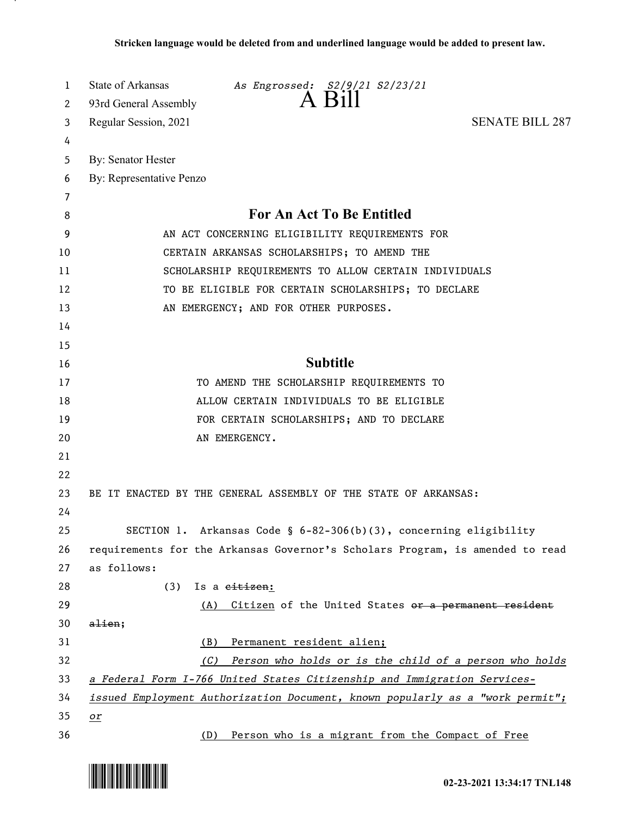| 1<br>2 | State of Arkansas<br>As Engrossed: S2/9/21 S2/23/21<br>93rd General Assembly          |
|--------|---------------------------------------------------------------------------------------|
| 3      | <b>SENATE BILL 287</b><br>Regular Session, 2021                                       |
| 4      |                                                                                       |
| 5      | <b>By: Senator Hester</b>                                                             |
| 6      | By: Representative Penzo                                                              |
| 7      |                                                                                       |
| 8      | For An Act To Be Entitled                                                             |
| 9      | AN ACT CONCERNING ELIGIBILITY REQUIREMENTS FOR                                        |
| 10     | CERTAIN ARKANSAS SCHOLARSHIPS; TO AMEND THE                                           |
| 11     | SCHOLARSHIP REQUIREMENTS TO ALLOW CERTAIN INDIVIDUALS                                 |
| 12     | TO BE ELIGIBLE FOR CERTAIN SCHOLARSHIPS; TO DECLARE                                   |
| 13     | AN EMERGENCY; AND FOR OTHER PURPOSES.                                                 |
| 14     |                                                                                       |
| 15     |                                                                                       |
| 16     | <b>Subtitle</b>                                                                       |
| 17     | TO AMEND THE SCHOLARSHIP REQUIREMENTS TO                                              |
| 18     | ALLOW CERTAIN INDIVIDUALS TO BE ELIGIBLE                                              |
| 19     | FOR CERTAIN SCHOLARSHIPS; AND TO DECLARE                                              |
| 20     | AN EMERGENCY.                                                                         |
| 21     |                                                                                       |
| 22     |                                                                                       |
| 23     | BE IT ENACTED BY THE GENERAL ASSEMBLY OF THE STATE OF ARKANSAS:                       |
| 24     |                                                                                       |
| 25     | SECTION 1. Arkansas Code § $6-82-306(b)(3)$ , concerning eligibility                  |
| 26     | requirements for the Arkansas Governor's Scholars Program, is amended to read         |
| 27     | as follows:                                                                           |
| 28     | (3)<br>Is a eitizen:                                                                  |
| 29     | Citizen of the United States or a permanent resident<br>(A)                           |
| 30     | $a$ lien;                                                                             |
| 31     | Permanent resident alien;<br>(B)                                                      |
| 32     | Person who holds or is the child of a person who holds<br>(C)                         |
| 33     | a Federal Form I-766 United States Citizenship and Immigration Services-              |
| 34     | <i>issued Employment Authorization Document, known popularly as a "work permit"</i> ; |
| 35     | $\mathbf{r}$                                                                          |
| 36     | Person who is a migrant from the Compact of Free<br>(D)                               |